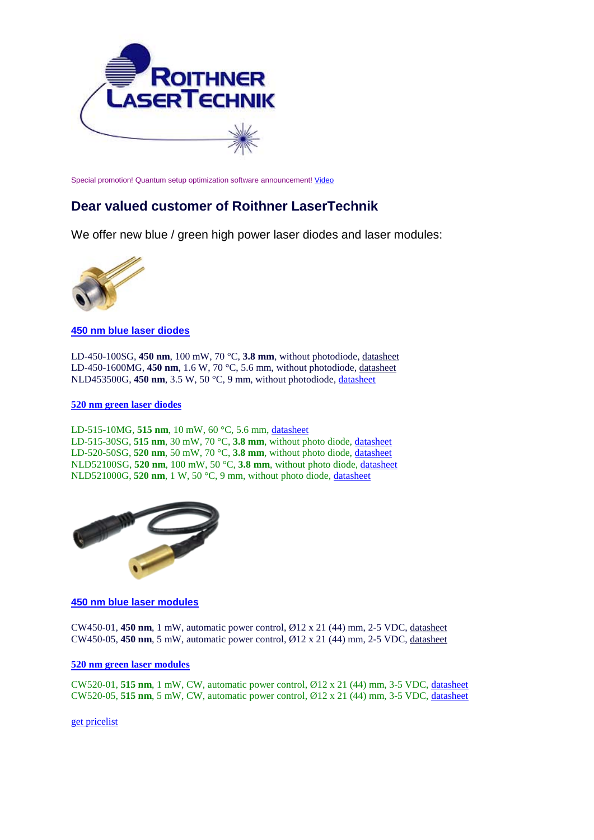

Special promotion! Quantum setup optimization software announcement! [Video](https://www.youtube.com/watch?v=zcnP22wiQeo)

## **Dear valued customer of Roithner LaserTechnik**

We offer new blue / green high power laser diodes and laser modules:



**450 nm [blue laser diodes](http://www.roithner-laser.com/ld_standard.html%23blue)**

LD-450-100SG, **450 nm**, 100 mW, 70 °C, **3.8 mm**, without photodiode, [datasheet](http://www.roithner-laser.com/datasheets/ld_div/ld-450-100sg.pdf) LD-450-1600MG, **450 nm**, 1.6 W, 70 °C, 5.6 mm, without photodiode, [datasheet](http://www.roithner-laser.com/datasheets/ld_div/ld-450-1600mg.pdf) NLD453500G, **450 nm**, 3.5 W, 50 °C, 9 mm, without photodiode, [datasheet](http://www.roithner-laser.com/datasheets/ld_div/nld453500g_rev%201.0.pdf)

## **[520 nm green laser diodes](http://www.roithner-laser.com/ld_standard.html%23green)**

LD-515-10MG, **515 nm**, 10 mW, 60 °C, 5.6 mm, [datasheet](http://www.roithner-laser.com/datasheets/ld_div/ld-515-10mg.pdf) LD-515-30SG, **515 nm**, 30 mW, 70 °C, **3.8 mm**, without photo diode, [datasheet](http://www.roithner-laser.com/datasheets/ld_div/ld-515-30sg.pdf) LD-520-50SG, **520 nm**, 50 mW, 70 °C, **3.8 mm**, without photo diode, [datasheet](http://www.roithner-laser.com/datasheets/ld_div/ld-520-50sg.pdf) NLD52100SG, **520 nm**, 100 mW, 50 °C, **3.8 mm**, without photo diode, [datasheet](http://www.roithner-laser.com/datasheets/ld_div/nld52100sg_rev%201.0.pdf) NLD521000G, **520 nm**, 1 W, 50 °C, 9 mm, without photo diode, [datasheet](http://www.roithner-laser.com/datasheets/ld_div/nld521000g_rev%201.0.pdf)



**[450 nm blue laser modules](http://www.roithner-laser.com/laser_modules_dot_450.html)**

CW450-01, **450 nm**, 1 mW, automatic power control, Ø12 x 21 (44) mm, 2-5 VDC, [datasheet](http://www.roithner-laser.com/datasheets/laser/laser_modules/cw450-01.pdf) CW450-05, **450 nm**, 5 mW, automatic power control, Ø12 x 21 (44) mm, 2-5 VDC, [datasheet](http://www.roithner-laser.com/datasheets/laser/laser_modules/cw450-05.pdf)

## **[520 nm green laser modules](http://www.roithner-laser.com/laser_modules_dot_520.html)**

CW520-01, **515 nm**, 1 mW, CW, automatic power control, Ø12 x 21 (44) mm, 3-5 VDC, [datasheet](http://www.roithner-laser.com/datasheets/laser/laser_modules/cw520-01.pdf) CW520-05, **515 nm**, 5 mW, CW, automatic power control, Ø12 x 21 (44) mm, 3-5 VDC, [datasheet](http://www.roithner-laser.com/datasheets/laser/laser_modules/cw520-05.pdf)

[get pricelist](http://www.roithner-laser.com/pricelist.pdf)